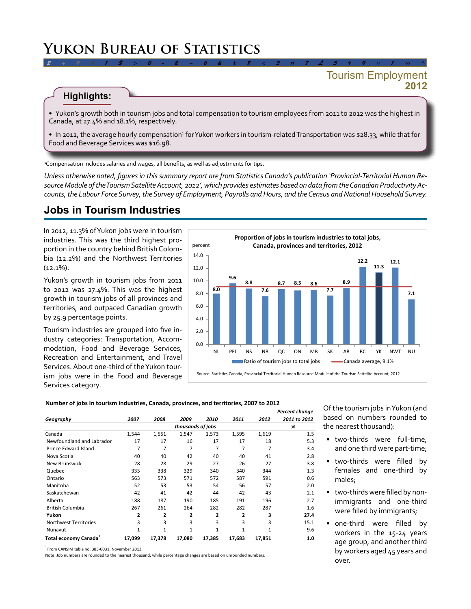# **Yukon Bureau of Statistics**

### **2012** Tourism Employment

### **Highlights:**

• Yukon's growth both in tourism jobs and total compensation to tourism employees from 2011 to 2012 was the highest in Canada, at 27.4% and 18.1%, respectively.

*2 ÷ 9 # 1 \$ > 0 - 2 + 6 & ± 8 < 3 π 7 £ 5 ‡ 9 ≈ 1 ∞ ^*

• In 2012, the average hourly compensation<sup>3</sup> for Yukon workers in tourism-related Transportation was \$28.33, while that for Food and Beverage Services was \$16.98.

1 Compensation includes salaries and wages, all benefits, as well as adjustments for tips.

*Unless otherwise noted, figures in this summary report are from Statistics Canada's publication 'Provincial-Territorial Human Resource Module of the Tourism Satellite Account, 2012', which provides estimates based on data from the Canadian Productivity Accounts, the Labour Force Survey, the Survey of Employment, Payrolls and Hours, and the Census and National Household Survey.* 

## **Jobs in Tourism Industries**

In 2012, 11.3% of Yukon jobs were in tourism industries. This was the third highest proportion in the country behind British Colombia (12.2%) and the Northwest Territories  $(12.1\%)$ .

Yukon's growth in tourism jobs from 2011 to 2012 was 27.4%. This was the highest growth in tourism jobs of all provinces and territories, and outpaced Canadian growth by 25.9 percentage points.

Tourism industries are grouped into five industry categories: Transportation, Accommodation, Food and Beverage Services, Recreation and Entertainment, and Travel Services. About one-third of the Yukon tourism jobs were in the Food and Beverage Services category.



#### **Number of jobs in tourism industries, Canada, provinces, and territories, 2007 to 2012**

| Geography                         |        |              |                |        |              |        | Percent change |
|-----------------------------------|--------|--------------|----------------|--------|--------------|--------|----------------|
|                                   | 2007   | 2008         | 2009           | 2010   | 2011         | 2012   | 2011 to 2012   |
|                                   |        |              | %              |        |              |        |                |
| Canada                            | 1,544  | 1,551        | 1,547          | 1,573  | 1,595        | 1,619  | 1.5            |
| Newfoundland and Labrador         | 17     | 17           | 16             | 17     | 17           | 18     | 5.3            |
| Prince Edward Island              | 7      | 7            | 7              | 7      | 7            | 7      | 3.4            |
| Nova Scotia                       | 40     | 40           | 42             | 40     | 40           | 41     | 2.8            |
| <b>New Brunswick</b>              | 28     | 28           | 29             | 27     | 26           | 27     | 3.8            |
| Quebec                            | 335    | 338          | 329            | 340    | 340          | 344    | 1.3            |
| Ontario                           | 563    | 573          | 571            | 572    | 587          | 591    | 0.6            |
| Manitoba                          | 52     | 53           | 53             | 54     | 56           | 57     | 2.0            |
| Saskatchewan                      | 42     | 41           | 42             | 44     | 42           | 43     | 2.1            |
| Alberta                           | 188    | 187          | 190            | 185    | 191          | 196    | 2.7            |
| <b>British Columbia</b>           | 267    | 261          | 264            | 282    | 282          | 287    | 1.6            |
| Yukon                             | 2      | 2            | $\overline{2}$ | 2      | 2            | 3      | 27.4           |
| <b>Northwest Territories</b>      | 3      | 3            | 3              | 3      | 3            | 3      | 15.1           |
| Nunavut                           | 1      | $\mathbf{1}$ | 1              | 1      | $\mathbf{1}$ | 1      | 9.6            |
| Total economy Canada <sup>1</sup> | 17,099 | 17,378       | 17,080         | 17,385 | 17,683       | 17,851 | 1.0            |

<sup>1</sup> From CANSIM table no. 383-0031, November 2013.

Note: Job numbers are rounded to the nearest thousand, while percentage changes are based on unrounded numbers.

Of the tourism jobs in Yukon (and based on numbers rounded to the nearest thousand):

- two-thirds were full-time, and one third were part-time;
- two-thirds were filled by females and one-third by males;
- two-thirds were filled by nonimmigrants and one-third were filled by immigrants;
- one-third were filled by workers in the 15-24 years age group, and another third by workers aged 45 years and over.